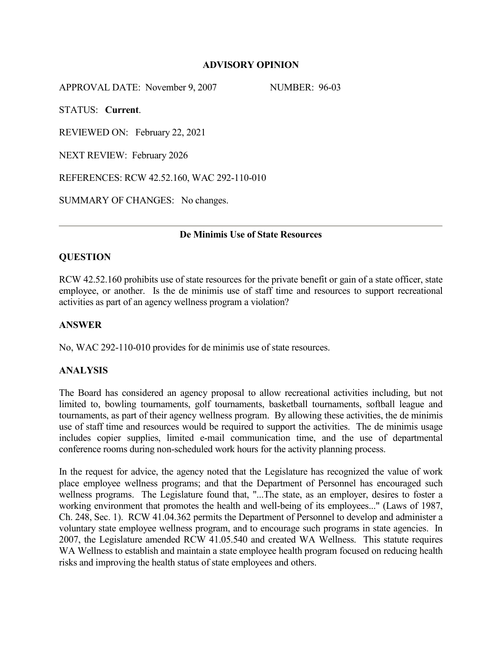#### **ADVISORY OPINION**

APPROVAL DATE: November 9, 2007 NUMBER: 96-03

STATUS: **Current**.

REVIEWED ON: February 22, 2021

NEXT REVIEW: February 2026

REFERENCES: RCW 42.52.160, WAC 292-110-010

SUMMARY OF CHANGES: No changes.

## **De Minimis Use of State Resources**

## **QUESTION**

RCW 42.52.160 prohibits use of state resources for the private benefit or gain of a state officer, state employee, or another. Is the de minimis use of staff time and resources to support recreational activities as part of an agency wellness program a violation?

# **ANSWER**

No, WAC 292-110-010 provides for de minimis use of state resources.

#### **ANALYSIS**

The Board has considered an agency proposal to allow recreational activities including, but not limited to, bowling tournaments, golf tournaments, basketball tournaments, softball league and tournaments, as part of their agency wellness program. By allowing these activities, the de minimis use of staff time and resources would be required to support the activities. The de minimis usage includes copier supplies, limited e-mail communication time, and the use of departmental conference rooms during non-scheduled work hours for the activity planning process.

In the request for advice, the agency noted that the Legislature has recognized the value of work place employee wellness programs; and that the Department of Personnel has encouraged such wellness programs. The Legislature found that, "...The state, as an employer, desires to foster a working environment that promotes the health and well-being of its employees..." (Laws of 1987, Ch. 248, Sec. 1). RCW 41.04.362 permits the Department of Personnel to develop and administer a voluntary state employee wellness program, and to encourage such programs in state agencies. In 2007, the Legislature amended RCW 41.05.540 and created WA Wellness. This statute requires WA Wellness to establish and maintain a state employee health program focused on reducing health risks and improving the health status of state employees and others.